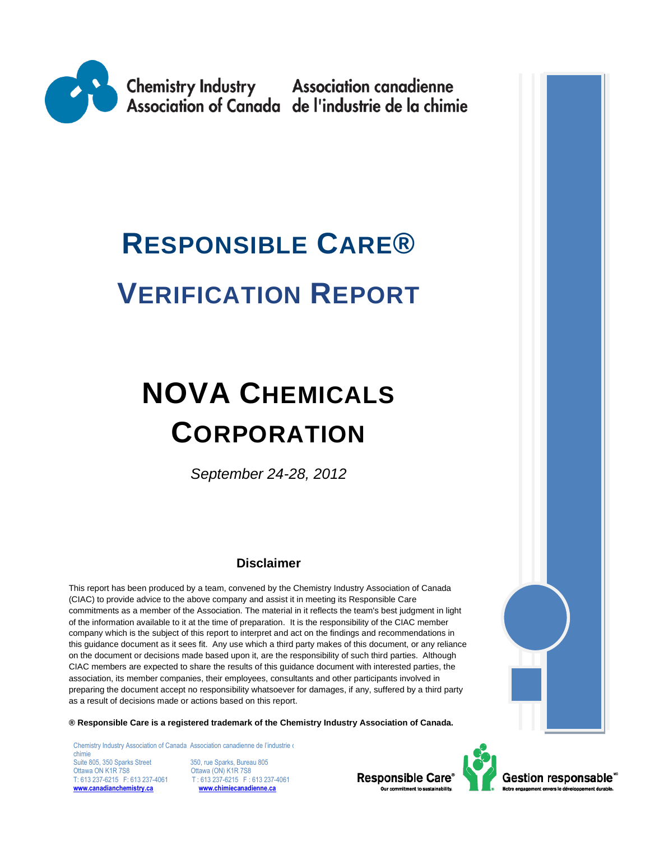

# **RESPONSIBLE CARE® VERIFICATION REPORT**

# **NOVA CHEMICALS CORPORATION**

*September 24-28, 2012*

# **Disclaimer**

This report has been produced by a team, convened by the Chemistry Industry Association of Canada (CIAC) to provide advice to the above company and assist it in meeting its Responsible Care commitments as a member of the Association. The material in it reflects the team's best judgment in light of the information available to it at the time of preparation. It is the responsibility of the CIAC member company which is the subject of this report to interpret and act on the findings and recommendations in this guidance document as it sees fit. Any use which a third party makes of this document, or any reliance on the document or decisions made based upon it, are the responsibility of such third parties. Although CIAC members are expected to share the results of this guidance document with interested parties, the association, its member companies, their employees, consultants and other participants involved in preparing the document accept no responsibility whatsoever for damages, if any, suffered by a third party as a result of decisions made or actions based on this report.

**® Responsible Care is a registered trademark of the Chemistry Industry Association of Canada.** 

Chemistry Industry Association of Canada Association canadienne de l'industrie de chimie Suite 805, 350 Sparks Street 350, rue Sparks, Bureau 805<br>
Ottawa ON K1R 7S8 Cottawa (ON) K1R 7S8 Ottawa ON K1R 7S8 **Ottawa (ON) K1R 7S8**<br>T: 613 237-6215 F: 613 237-4061 T: 613 237-6215 F: **[www.canadianchemistry.ca](http://www.canadianchemistry.ca/) [www.chimiecanadienne.ca](http://www.chimiecanadienne.ca/)**

 $T: 613\overline{237} - 6215$  F: 613 237-4061<br>www.chimiecanadienne.ca



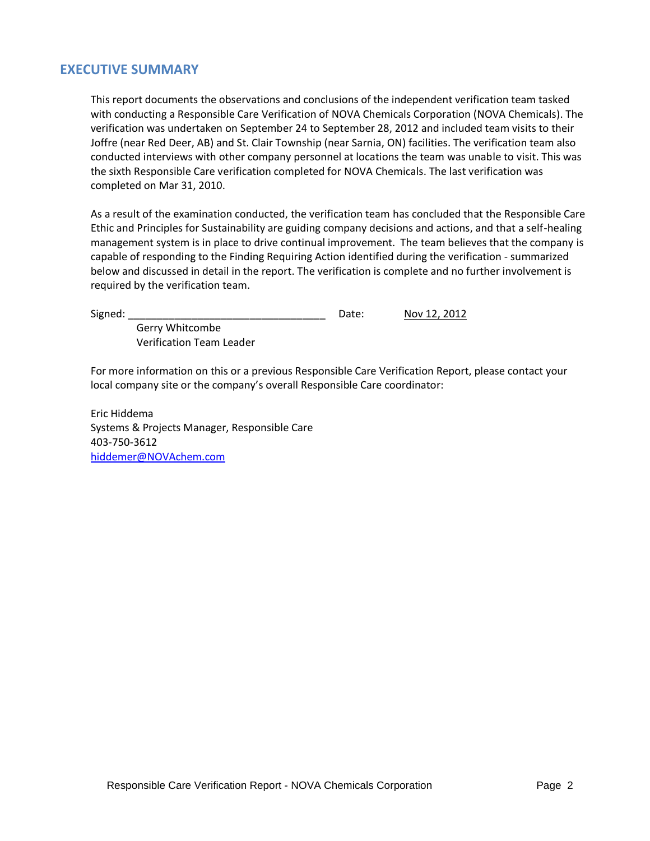## **EXECUTIVE SUMMARY**

This report documents the observations and conclusions of the independent verification team tasked with conducting a Responsible Care Verification of NOVA Chemicals Corporation (NOVA Chemicals). The verification was undertaken on September 24 to September 28, 2012 and included team visits to their Joffre (near Red Deer, AB) and St. Clair Township (near Sarnia, ON) facilities. The verification team also conducted interviews with other company personnel at locations the team was unable to visit. This was the sixth Responsible Care verification completed for NOVA Chemicals. The last verification was completed on Mar 31, 2010.

As a result of the examination conducted, the verification team has concluded that the Responsible Care Ethic and Principles for Sustainability are guiding company decisions and actions, and that a self-healing management system is in place to drive continual improvement. The team believes that the company is capable of responding to the Finding Requiring Action identified during the verification - summarized below and discussed in detail in the report. The verification is complete and no further involvement is required by the verification team.

| agneo |  |
|-------|--|
|       |  |

Date: **Nov 12, 2012** 

Gerry Whitcombe Verification Team Leader

For more information on this or a previous Responsible Care Verification Report, please contact your local company site or the company's overall Responsible Care coordinator:

Eric Hiddema Systems & Projects Manager, Responsible Care 403-750-3612 [hiddemer@NOVAchem.com](mailto:hiddemer@NOVAchem.com)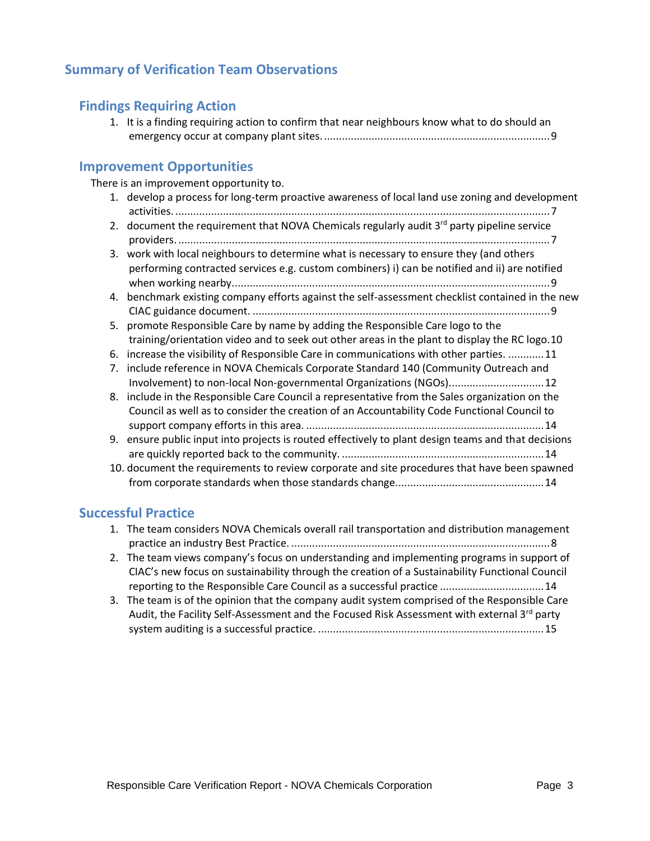# **Summary of Verification Team Observations**

## **Findings Requiring Action**

1. [It is a finding requiring action to confirm that near neighbours know what to do should an](#page-8-0)  [emergency occur at company plant sites.............................................................................9](#page-8-0)

## **Improvement Opportunities**

There is an improvement opportunity to.

1. [develop a process for long-term proactive awareness of local land use zoning and development](#page-6-0)  activities. [..............................................................................................................................7](#page-6-0) 2. [document the requirement that NOVA Chemicals regularly](#page-6-1) audit  $3<sup>rd</sup>$  party pipeline service providers. [.............................................................................................................................7](#page-6-1) 3. [work with local neighbours to determine what is necessary to ensure they \(and others](#page-8-1)  [performing contracted services e.g. custom combiners\) i\) can be notified and ii\) are notified](#page-8-1)  [when working nearby...........................................................................................................9](#page-8-1) 4. [benchmark existing company efforts against the self-assessment checklist contained in the new](#page-8-2)  CIAC guidance document. [....................................................................................................9](#page-8-2) 5. [promote Responsible Care by name by adding the Responsible Care logo to the](#page-9-0)  [training/orientation video and to seek out other areas in the plant to display the RC logo.10](#page-9-0) 6. [increase the visibility of Responsible Care in communications with other parties.](#page-10-0) ............11 7. [include reference in NOVA Chemicals Corporate Standard 140 \(Community Outreach and](#page-11-0)  [Involvement\) to non-local Non-governmental Organizations \(NGOs\)................................12](#page-11-0) 8. [include in the Responsible Care Council a representative from the Sales organization on the](#page-13-0)  [Council as well as to consider the creation of an Accountability Code Functional Council to](#page-13-0)  support company efforts in this area. [................................................................................14](#page-13-0) 9. [ensure public input into projects is routed effectively to plant design teams and that decisions](#page-13-1)  are quickly reported back to the community. [....................................................................14](#page-13-1) 10. [document the requirements to review corporate and site procedures that have been spawned](#page-13-2)  [from corporate standards when those standards change..................................................14](#page-13-2)

## **Successful Practice**

- 1. [The team considers NOVA Chemicals overall rail transportation and distribution management](#page-7-0)  practice an industry Best Practice. [.......................................................................................8](#page-7-0)
- 2. [The team views company's focus on understanding and implementing programs in support of](#page-13-3)  [CIAC's new focus on sustainability through the creation of a Sustainability Functional Council](#page-13-3)  [reporting to the Responsible Care Council as a successful practice](#page-13-3) ...................................14
- 3. [The team is of the opinion that the company audit system comprised of the Responsible Care](#page-14-0)  Audit, the Facility Self-Assessment and the Focused Risk Assessment with external  $3^{rd}$  party system auditing is a successful practice. [............................................................................15](#page-14-0)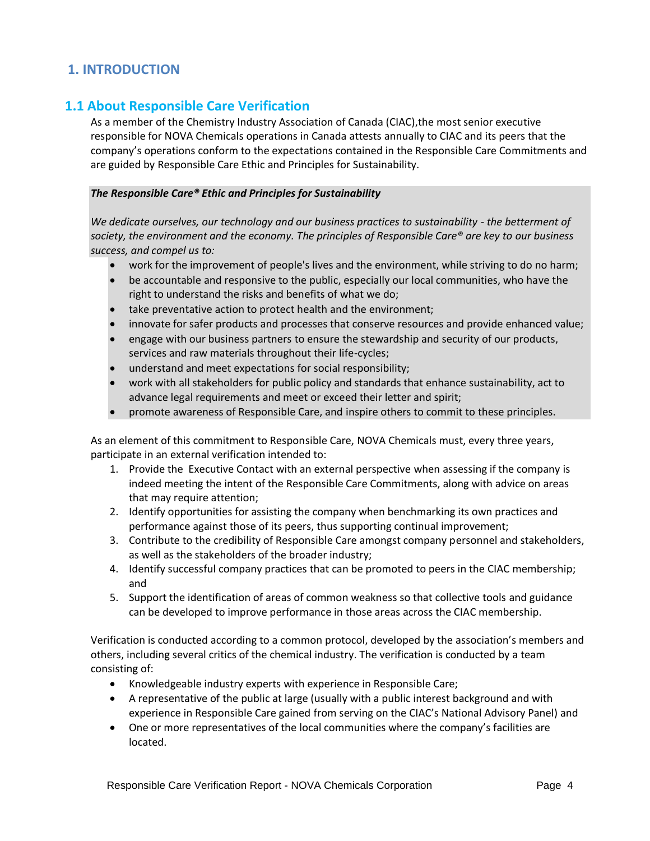# **1. INTRODUCTION**

## **1.1 About Responsible Care Verification**

As a member of the Chemistry Industry Association of Canada (CIAC),the most senior executive responsible for NOVA Chemicals operations in Canada attests annually to CIAC and its peers that the company's operations conform to the expectations contained in the Responsible Care Commitments and are guided by Responsible Care Ethic and Principles for Sustainability.

#### *The Responsible Care® Ethic and Principles for Sustainability*

*We dedicate ourselves, our technology and our business practices to sustainability - the betterment of society, the environment and the economy. The principles of Responsible Care® are key to our business success, and compel us to:*

- work for the improvement of people's lives and the environment, while striving to do no harm;
- be accountable and responsive to the public, especially our local communities, who have the right to understand the risks and benefits of what we do;
- take preventative action to protect health and the environment;
- innovate for safer products and processes that conserve resources and provide enhanced value;
- engage with our business partners to ensure the stewardship and security of our products, services and raw materials throughout their life-cycles;
- understand and meet expectations for social responsibility;
- work with all stakeholders for public policy and standards that enhance sustainability, act to advance legal requirements and meet or exceed their letter and spirit;
- promote awareness of Responsible Care, and inspire others to commit to these principles.

As an element of this commitment to Responsible Care, NOVA Chemicals must, every three years, participate in an external verification intended to:

- 1. Provide the Executive Contact with an external perspective when assessing if the company is indeed meeting the intent of the Responsible Care Commitments, along with advice on areas that may require attention;
- 2. Identify opportunities for assisting the company when benchmarking its own practices and performance against those of its peers, thus supporting continual improvement;
- 3. Contribute to the credibility of Responsible Care amongst company personnel and stakeholders, as well as the stakeholders of the broader industry;
- 4. Identify successful company practices that can be promoted to peers in the CIAC membership; and
- 5. Support the identification of areas of common weakness so that collective tools and guidance can be developed to improve performance in those areas across the CIAC membership.

Verification is conducted according to a common protocol, developed by the association's members and others, including several critics of the chemical industry. The verification is conducted by a team consisting of:

- Knowledgeable industry experts with experience in Responsible Care;
- A representative of the public at large (usually with a public interest background and with experience in Responsible Care gained from serving on the CIAC's National Advisory Panel) and
- One or more representatives of the local communities where the company's facilities are located.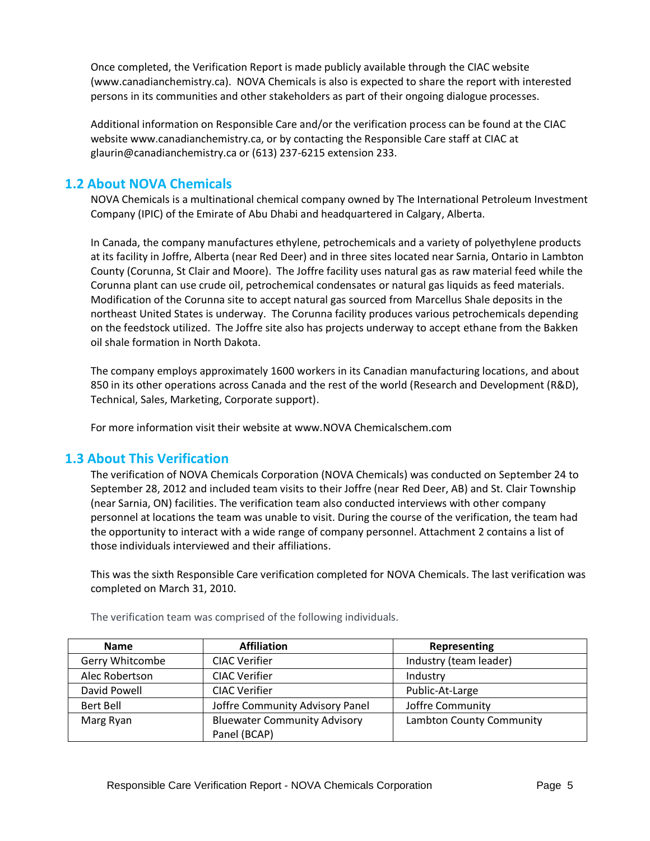Once completed, the Verification Report is made publicly available through the CIAC website (www.canadianchemistry.ca). NOVA Chemicals is also is expected to share the report with interested persons in its communities and other stakeholders as part of their ongoing dialogue processes.

Additional information on Responsible Care and/or the verification process can be found at the CIAC website www.canadianchemistry.ca, or by contacting the Responsible Care staff at CIAC at glaurin@canadianchemistry.ca or (613) 237-6215 extension 233.

# **1.2 About NOVA Chemicals**

NOVA Chemicals is a multinational chemical company owned by The International Petroleum Investment Company (IPIC) of the Emirate of Abu Dhabi and headquartered in Calgary, Alberta.

In Canada, the company manufactures ethylene, petrochemicals and a variety of polyethylene products at its facility in Joffre, Alberta (near Red Deer) and in three sites located near Sarnia, Ontario in Lambton County (Corunna, St Clair and Moore). The Joffre facility uses natural gas as raw material feed while the Corunna plant can use crude oil, petrochemical condensates or natural gas liquids as feed materials. Modification of the Corunna site to accept natural gas sourced from Marcellus Shale deposits in the northeast United States is underway. The Corunna facility produces various petrochemicals depending on the feedstock utilized. The Joffre site also has projects underway to accept ethane from the Bakken oil shale formation in North Dakota.

The company employs approximately 1600 workers in its Canadian manufacturing locations, and about 850 in its other operations across Canada and the rest of the world (Research and Development (R&D), Technical, Sales, Marketing, Corporate support).

For more information visit their website at www.NOVA Chemicalschem.com

## **1.3 About This Verification**

The verification of NOVA Chemicals Corporation (NOVA Chemicals) was conducted on September 24 to September 28, 2012 and included team visits to their Joffre (near Red Deer, AB) and St. Clair Township (near Sarnia, ON) facilities. The verification team also conducted interviews with other company personnel at locations the team was unable to visit. During the course of the verification, the team had the opportunity to interact with a wide range of company personnel. Attachment 2 contains a list of those individuals interviewed and their affiliations.

This was the sixth Responsible Care verification completed for NOVA Chemicals. The last verification was completed on March 31, 2010.

| <b>Name</b>     | <b>Affiliation</b>                  | Representing             |
|-----------------|-------------------------------------|--------------------------|
| Gerry Whitcombe | <b>CIAC Verifier</b>                | Industry (team leader)   |
| Alec Robertson  | <b>CIAC Verifier</b>                | Industry                 |
| David Powell    | <b>CIAC Verifier</b>                | Public-At-Large          |
| Bert Bell       | Joffre Community Advisory Panel     | Joffre Community         |
| Marg Ryan       | <b>Bluewater Community Advisory</b> | Lambton County Community |
|                 | Panel (BCAP)                        |                          |

The verification team was comprised of the following individuals.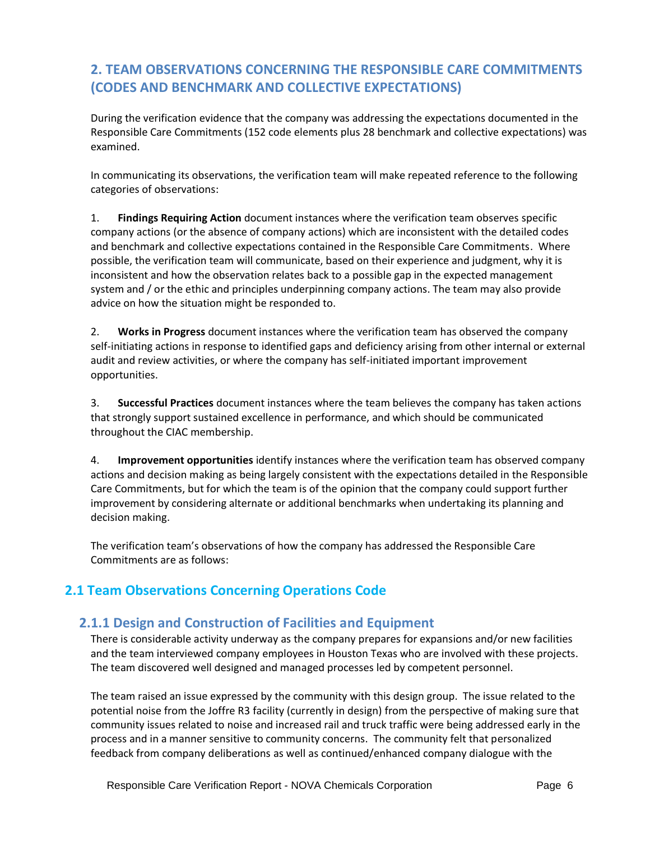# **2. TEAM OBSERVATIONS CONCERNING THE RESPONSIBLE CARE COMMITMENTS (CODES AND BENCHMARK AND COLLECTIVE EXPECTATIONS)**

During the verification evidence that the company was addressing the expectations documented in the Responsible Care Commitments (152 code elements plus 28 benchmark and collective expectations) was examined.

In communicating its observations, the verification team will make repeated reference to the following categories of observations:

1. **Findings Requiring Action** document instances where the verification team observes specific company actions (or the absence of company actions) which are inconsistent with the detailed codes and benchmark and collective expectations contained in the Responsible Care Commitments. Where possible, the verification team will communicate, based on their experience and judgment, why it is inconsistent and how the observation relates back to a possible gap in the expected management system and / or the ethic and principles underpinning company actions. The team may also provide advice on how the situation might be responded to.

2. **Works in Progress** document instances where the verification team has observed the company self-initiating actions in response to identified gaps and deficiency arising from other internal or external audit and review activities, or where the company has self-initiated important improvement opportunities.

3. **Successful Practices** document instances where the team believes the company has taken actions that strongly support sustained excellence in performance, and which should be communicated throughout the CIAC membership.

4. **Improvement opportunities** identify instances where the verification team has observed company actions and decision making as being largely consistent with the expectations detailed in the Responsible Care Commitments, but for which the team is of the opinion that the company could support further improvement by considering alternate or additional benchmarks when undertaking its planning and decision making.

The verification team's observations of how the company has addressed the Responsible Care Commitments are as follows:

# **2.1 Team Observations Concerning Operations Code**

# **2.1.1 Design and Construction of Facilities and Equipment**

There is considerable activity underway as the company prepares for expansions and/or new facilities and the team interviewed company employees in Houston Texas who are involved with these projects. The team discovered well designed and managed processes led by competent personnel.

The team raised an issue expressed by the community with this design group. The issue related to the potential noise from the Joffre R3 facility (currently in design) from the perspective of making sure that community issues related to noise and increased rail and truck traffic were being addressed early in the process and in a manner sensitive to community concerns. The community felt that personalized feedback from company deliberations as well as continued/enhanced company dialogue with the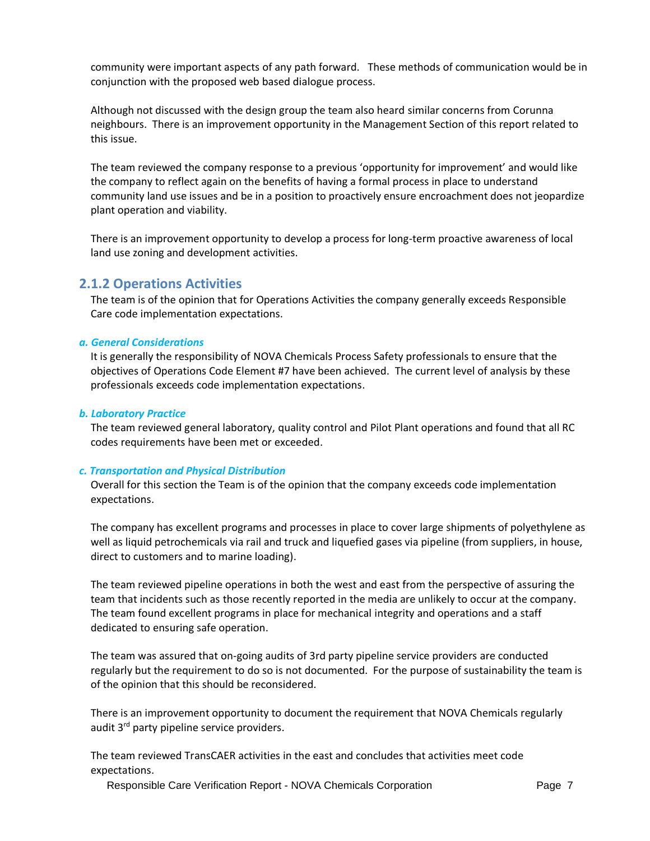community were important aspects of any path forward. These methods of communication would be in conjunction with the proposed web based dialogue process.

Although not discussed with the design group the team also heard similar concerns from Corunna neighbours. There is an improvement opportunity in the Management Section of this report related to this issue.

The team reviewed the company response to a previous 'opportunity for improvement' and would like the company to reflect again on the benefits of having a formal process in place to understand community land use issues and be in a position to proactively ensure encroachment does not jeopardize plant operation and viability.

<span id="page-6-0"></span>There is an improvement opportunity to develop a process for long-term proactive awareness of local land use zoning and development activities.

## **2.1.2 Operations Activities**

The team is of the opinion that for Operations Activities the company generally exceeds Responsible Care code implementation expectations.

#### *a. General Considerations*

It is generally the responsibility of NOVA Chemicals Process Safety professionals to ensure that the objectives of Operations Code Element #7 have been achieved. The current level of analysis by these professionals exceeds code implementation expectations.

#### *b. Laboratory Practice*

The team reviewed general laboratory, quality control and Pilot Plant operations and found that all RC codes requirements have been met or exceeded.

#### *c. Transportation and Physical Distribution*

Overall for this section the Team is of the opinion that the company exceeds code implementation expectations.

The company has excellent programs and processes in place to cover large shipments of polyethylene as well as liquid petrochemicals via rail and truck and liquefied gases via pipeline (from suppliers, in house, direct to customers and to marine loading).

The team reviewed pipeline operations in both the west and east from the perspective of assuring the team that incidents such as those recently reported in the media are unlikely to occur at the company. The team found excellent programs in place for mechanical integrity and operations and a staff dedicated to ensuring safe operation.

The team was assured that on-going audits of 3rd party pipeline service providers are conducted regularly but the requirement to do so is not documented. For the purpose of sustainability the team is of the opinion that this should be reconsidered.

<span id="page-6-1"></span>There is an improvement opportunity to document the requirement that NOVA Chemicals regularly audit 3<sup>rd</sup> party pipeline service providers.

The team reviewed TransCAER activities in the east and concludes that activities meet code expectations.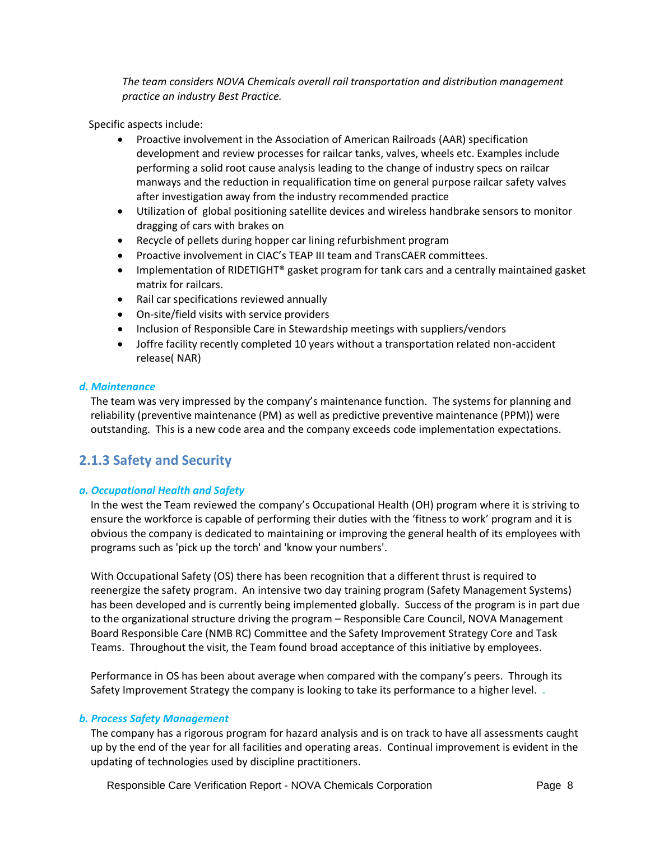*The team considers NOVA Chemicals overall rail transportation and distribution management practice an industry Best Practice.* 

<span id="page-7-0"></span>Specific aspects include:

- Proactive involvement in the Association of American Railroads (AAR) specification development and review processes for railcar tanks, valves, wheels etc. Examples include performing a solid root cause analysis leading to the change of industry specs on railcar manways and the reduction in requalification time on general purpose railcar safety valves after investigation away from the industry recommended practice
- Utilization of global positioning satellite devices and wireless handbrake sensors to monitor dragging of cars with brakes on
- Recycle of pellets during hopper car lining refurbishment program
- Proactive involvement in CIAC's TEAP III team and TransCAER committees.
- Implementation of RIDETIGHT® gasket program for tank cars and a centrally maintained gasket matrix for railcars.
- Rail car specifications reviewed annually
- On-site/field visits with service providers
- Inclusion of Responsible Care in Stewardship meetings with suppliers/vendors
- Joffre facility recently completed 10 years without a transportation related non-accident release( NAR)

#### *d. Maintenance*

The team was very impressed by the company's maintenance function. The systems for planning and reliability (preventive maintenance (PM) as well as predictive preventive maintenance (PPM)) were outstanding. This is a new code area and the company exceeds code implementation expectations.

# **2.1.3 Safety and Security**

#### *a. Occupational Health and Safety*

In the west the Team reviewed the company's Occupational Health (OH) program where it is striving to ensure the workforce is capable of performing their duties with the 'fitness to work' program and it is obvious the company is dedicated to maintaining or improving the general health of its employees with programs such as 'pick up the torch' and 'know your numbers'.

With Occupational Safety (OS) there has been recognition that a different thrust is required to reenergize the safety program. An intensive two day training program (Safety Management Systems) has been developed and is currently being implemented globally. Success of the program is in part due to the organizational structure driving the program – Responsible Care Council, NOVA Management Board Responsible Care (NMB RC) Committee and the Safety Improvement Strategy Core and Task Teams. Throughout the visit, the Team found broad acceptance of this initiative by employees.

Performance in OS has been about average when compared with the company's peers. Through its Safety Improvement Strategy the company is looking to take its performance to a higher level. .

#### *b. Process Safety Management*

The company has a rigorous program for hazard analysis and is on track to have all assessments caught up by the end of the year for all facilities and operating areas. Continual improvement is evident in the updating of technologies used by discipline practitioners.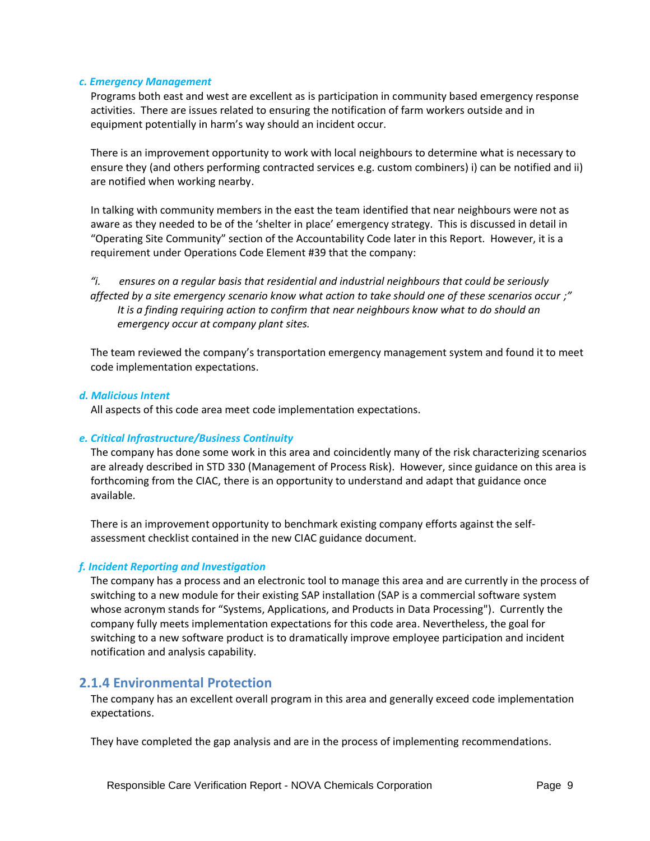#### *c. Emergency Management*

Programs both east and west are excellent as is participation in community based emergency response activities. There are issues related to ensuring the notification of farm workers outside and in equipment potentially in harm's way should an incident occur.

<span id="page-8-1"></span>There is an improvement opportunity to work with local neighbours to determine what is necessary to ensure they (and others performing contracted services e.g. custom combiners) i) can be notified and ii) are notified when working nearby.

In talking with community members in the east the team identified that near neighbours were not as aware as they needed to be of the 'shelter in place' emergency strategy. This is discussed in detail in "Operating Site Community" section of the Accountability Code later in this Report. However, it is a requirement under Operations Code Element #39 that the company:

<span id="page-8-0"></span>*"i. ensures on a regular basis that residential and industrial neighbours that could be seriously affected by a site emergency scenario know what action to take should one of these scenarios occur ;" It is a finding requiring action to confirm that near neighbours know what to do should an emergency occur at company plant sites.*

The team reviewed the company's transportation emergency management system and found it to meet code implementation expectations.

#### *d. Malicious Intent*

All aspects of this code area meet code implementation expectations.

#### *e. Critical Infrastructure/Business Continuity*

The company has done some work in this area and coincidently many of the risk characterizing scenarios are already described in STD 330 (Management of Process Risk). However, since guidance on this area is forthcoming from the CIAC, there is an opportunity to understand and adapt that guidance once available.

<span id="page-8-2"></span>There is an improvement opportunity to benchmark existing company efforts against the selfassessment checklist contained in the new CIAC guidance document.

#### *f. Incident Reporting and Investigation*

The company has a process and an electronic tool to manage this area and are currently in the process of switching to a new module for their existing SAP installation (SAP is a commercial software system whose acronym stands for "Systems, Applications, and Products in Data Processing"). Currently the company fully meets implementation expectations for this code area. Nevertheless, the goal for switching to a new software product is to dramatically improve employee participation and incident notification and analysis capability.

### **2.1.4 Environmental Protection**

The company has an excellent overall program in this area and generally exceed code implementation expectations.

They have completed the gap analysis and are in the process of implementing recommendations.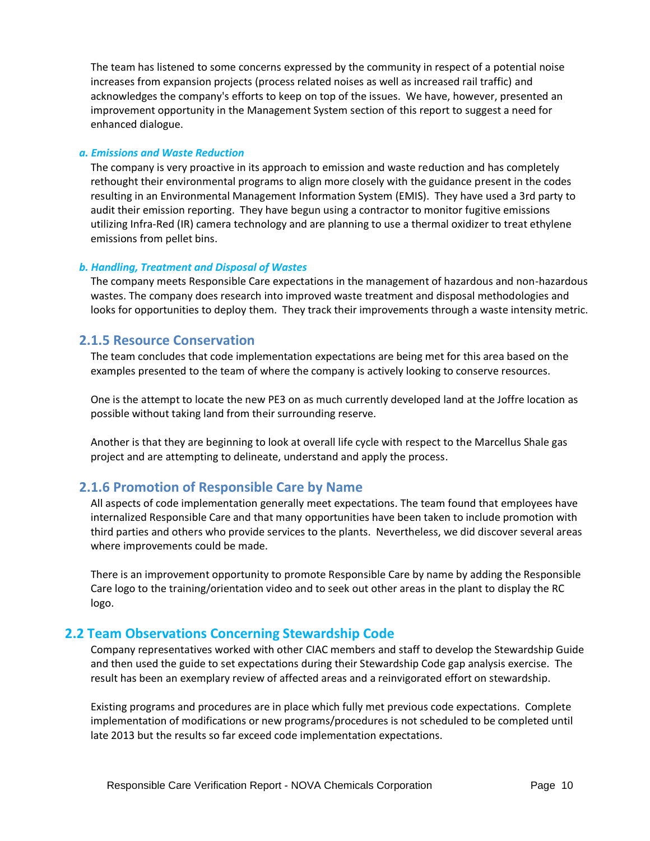The team has listened to some concerns expressed by the community in respect of a potential noise increases from expansion projects (process related noises as well as increased rail traffic) and acknowledges the company's efforts to keep on top of the issues. We have, however, presented an improvement opportunity in the Management System section of this report to suggest a need for enhanced dialogue.

#### *a. Emissions and Waste Reduction*

The company is very proactive in its approach to emission and waste reduction and has completely rethought their environmental programs to align more closely with the guidance present in the codes resulting in an Environmental Management Information System (EMIS). They have used a 3rd party to audit their emission reporting. They have begun using a contractor to monitor fugitive emissions utilizing Infra-Red (IR) camera technology and are planning to use a thermal oxidizer to treat ethylene emissions from pellet bins.

#### *b. Handling, Treatment and Disposal of Wastes*

The company meets Responsible Care expectations in the management of hazardous and non-hazardous wastes. The company does research into improved waste treatment and disposal methodologies and looks for opportunities to deploy them. They track their improvements through a waste intensity metric.

## **2.1.5 Resource Conservation**

The team concludes that code implementation expectations are being met for this area based on the examples presented to the team of where the company is actively looking to conserve resources.

One is the attempt to locate the new PE3 on as much currently developed land at the Joffre location as possible without taking land from their surrounding reserve.

Another is that they are beginning to look at overall life cycle with respect to the Marcellus Shale gas project and are attempting to delineate, understand and apply the process.

## **2.1.6 Promotion of Responsible Care by Name**

All aspects of code implementation generally meet expectations. The team found that employees have internalized Responsible Care and that many opportunities have been taken to include promotion with third parties and others who provide services to the plants. Nevertheless, we did discover several areas where improvements could be made.

<span id="page-9-0"></span>There is an improvement opportunity to promote Responsible Care by name by adding the Responsible Care logo to the training/orientation video and to seek out other areas in the plant to display the RC logo.

## **2.2 Team Observations Concerning Stewardship Code**

Company representatives worked with other CIAC members and staff to develop the Stewardship Guide and then used the guide to set expectations during their Stewardship Code gap analysis exercise. The result has been an exemplary review of affected areas and a reinvigorated effort on stewardship.

Existing programs and procedures are in place which fully met previous code expectations. Complete implementation of modifications or new programs/procedures is not scheduled to be completed until late 2013 but the results so far exceed code implementation expectations.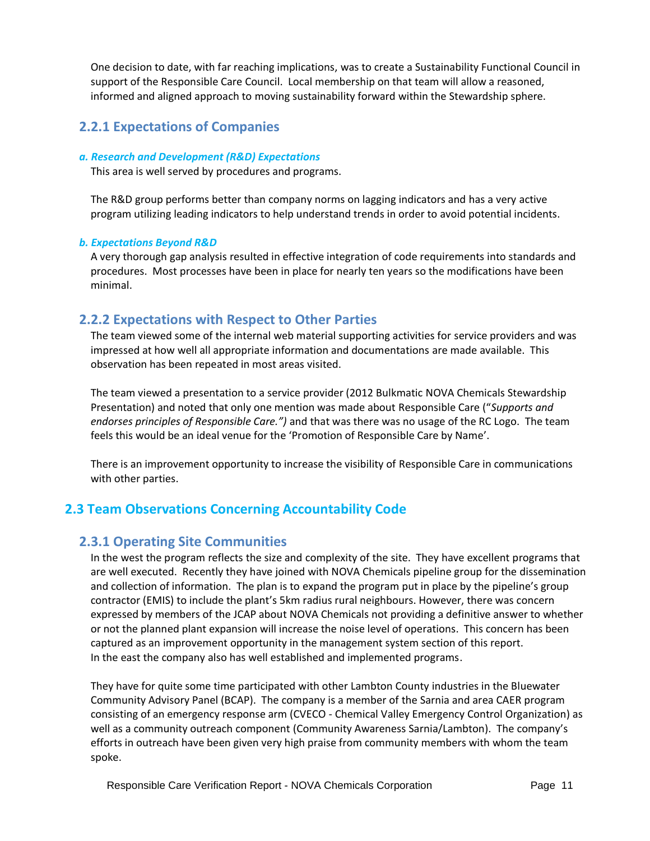One decision to date, with far reaching implications, was to create a Sustainability Functional Council in support of the Responsible Care Council. Local membership on that team will allow a reasoned, informed and aligned approach to moving sustainability forward within the Stewardship sphere.

# **2.2.1 Expectations of Companies**

#### *a. Research and Development (R&D) Expectations*

This area is well served by procedures and programs.

The R&D group performs better than company norms on lagging indicators and has a very active program utilizing leading indicators to help understand trends in order to avoid potential incidents.

#### *b. Expectations Beyond R&D*

A very thorough gap analysis resulted in effective integration of code requirements into standards and procedures. Most processes have been in place for nearly ten years so the modifications have been minimal.

## **2.2.2 Expectations with Respect to Other Parties**

The team viewed some of the internal web material supporting activities for service providers and was impressed at how well all appropriate information and documentations are made available. This observation has been repeated in most areas visited.

The team viewed a presentation to a service provider (2012 Bulkmatic NOVA Chemicals Stewardship Presentation) and noted that only one mention was made about Responsible Care ("*Supports and endorses principles of Responsible Care.")* and that was there was no usage of the RC Logo. The team feels this would be an ideal venue for the 'Promotion of Responsible Care by Name'.

<span id="page-10-0"></span>There is an improvement opportunity to increase the visibility of Responsible Care in communications with other parties.

## **2.3 Team Observations Concerning Accountability Code**

## **2.3.1 Operating Site Communities**

In the west the program reflects the size and complexity of the site. They have excellent programs that are well executed. Recently they have joined with NOVA Chemicals pipeline group for the dissemination and collection of information. The plan is to expand the program put in place by the pipeline's group contractor (EMIS) to include the plant's 5km radius rural neighbours. However, there was concern expressed by members of the JCAP about NOVA Chemicals not providing a definitive answer to whether or not the planned plant expansion will increase the noise level of operations. This concern has been captured as an improvement opportunity in the management system section of this report. In the east the company also has well established and implemented programs.

They have for quite some time participated with other Lambton County industries in the Bluewater Community Advisory Panel (BCAP). The company is a member of the Sarnia and area CAER program consisting of an emergency response arm (CVECO - Chemical Valley Emergency Control Organization) as well as a community outreach component (Community Awareness Sarnia/Lambton). The company's efforts in outreach have been given very high praise from community members with whom the team spoke.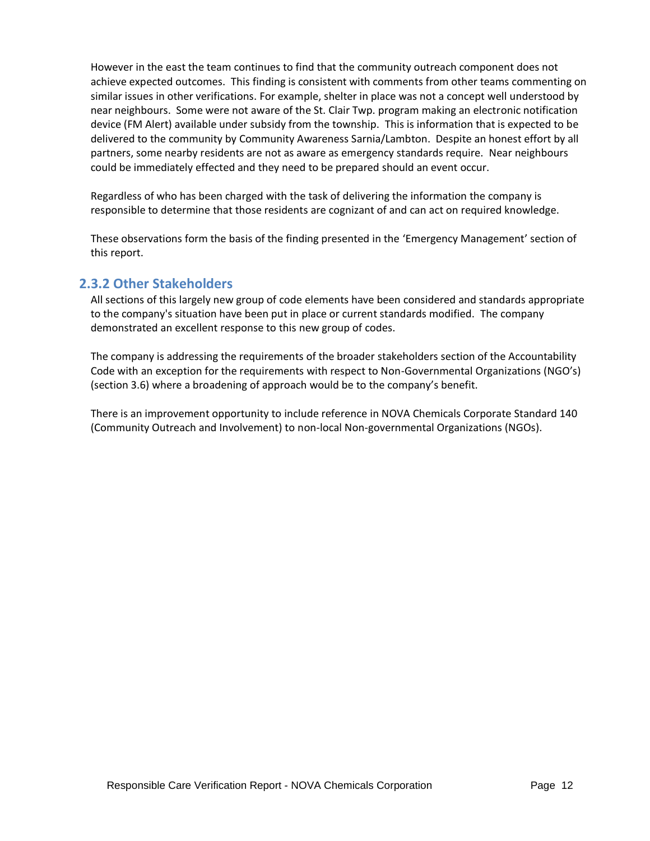However in the east the team continues to find that the community outreach component does not achieve expected outcomes. This finding is consistent with comments from other teams commenting on similar issues in other verifications. For example, shelter in place was not a concept well understood by near neighbours. Some were not aware of the St. Clair Twp. program making an electronic notification device (FM Alert) available under subsidy from the township. This is information that is expected to be delivered to the community by Community Awareness Sarnia/Lambton. Despite an honest effort by all partners, some nearby residents are not as aware as emergency standards require. Near neighbours could be immediately effected and they need to be prepared should an event occur.

Regardless of who has been charged with the task of delivering the information the company is responsible to determine that those residents are cognizant of and can act on required knowledge.

These observations form the basis of the finding presented in the 'Emergency Management' section of this report.

## **2.3.2 Other Stakeholders**

All sections of this largely new group of code elements have been considered and standards appropriate to the company's situation have been put in place or current standards modified. The company demonstrated an excellent response to this new group of codes.

The company is addressing the requirements of the broader stakeholders section of the Accountability Code with an exception for the requirements with respect to Non-Governmental Organizations (NGO's) (section 3.6) where a broadening of approach would be to the company's benefit.

<span id="page-11-0"></span>There is an improvement opportunity to include reference in NOVA Chemicals Corporate Standard 140 (Community Outreach and Involvement) to non-local Non-governmental Organizations (NGOs).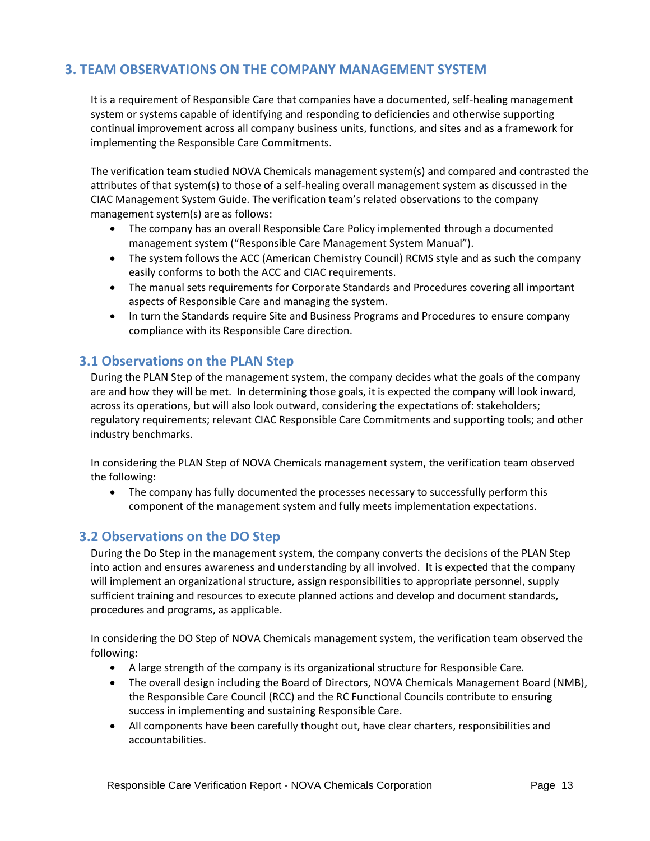# **3. TEAM OBSERVATIONS ON THE COMPANY MANAGEMENT SYSTEM**

It is a requirement of Responsible Care that companies have a documented, self-healing management system or systems capable of identifying and responding to deficiencies and otherwise supporting continual improvement across all company business units, functions, and sites and as a framework for implementing the Responsible Care Commitments.

The verification team studied NOVA Chemicals management system(s) and compared and contrasted the attributes of that system(s) to those of a self-healing overall management system as discussed in the CIAC Management System Guide. The verification team's related observations to the company management system(s) are as follows:

- The company has an overall Responsible Care Policy implemented through a documented management system ("Responsible Care Management System Manual").
- The system follows the ACC (American Chemistry Council) RCMS style and as such the company easily conforms to both the ACC and CIAC requirements.
- The manual sets requirements for Corporate Standards and Procedures covering all important aspects of Responsible Care and managing the system.
- In turn the Standards require Site and Business Programs and Procedures to ensure company compliance with its Responsible Care direction.

## **3.1 Observations on the PLAN Step**

During the PLAN Step of the management system, the company decides what the goals of the company are and how they will be met. In determining those goals, it is expected the company will look inward, across its operations, but will also look outward, considering the expectations of: stakeholders; regulatory requirements; relevant CIAC Responsible Care Commitments and supporting tools; and other industry benchmarks.

In considering the PLAN Step of NOVA Chemicals management system, the verification team observed the following:

• The company has fully documented the processes necessary to successfully perform this component of the management system and fully meets implementation expectations.

## **3.2 Observations on the DO Step**

During the Do Step in the management system, the company converts the decisions of the PLAN Step into action and ensures awareness and understanding by all involved. It is expected that the company will implement an organizational structure, assign responsibilities to appropriate personnel, supply sufficient training and resources to execute planned actions and develop and document standards, procedures and programs, as applicable.

In considering the DO Step of NOVA Chemicals management system, the verification team observed the following:

- A large strength of the company is its organizational structure for Responsible Care.
- The overall design including the Board of Directors, NOVA Chemicals Management Board (NMB), the Responsible Care Council (RCC) and the RC Functional Councils contribute to ensuring success in implementing and sustaining Responsible Care.
- All components have been carefully thought out, have clear charters, responsibilities and accountabilities.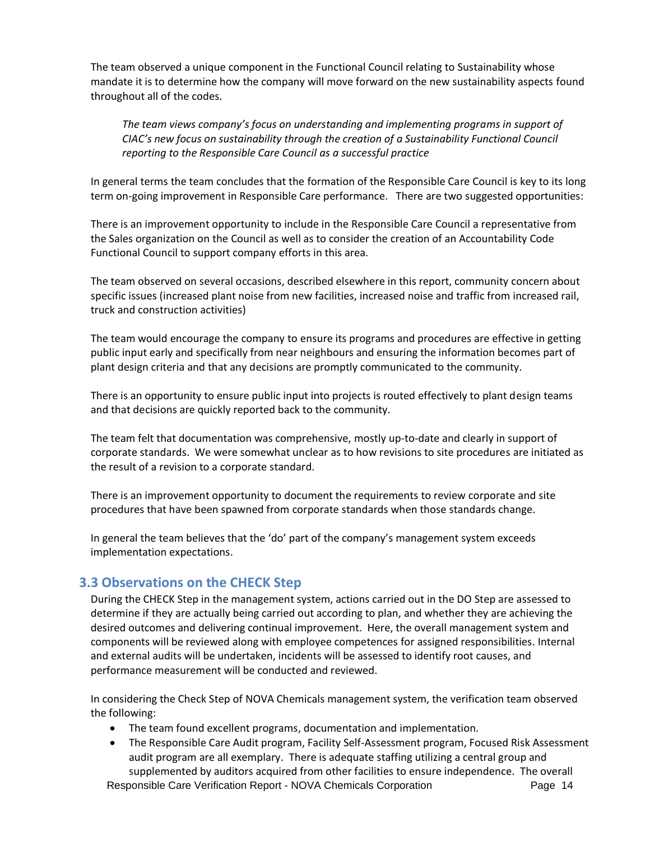<span id="page-13-3"></span>The team observed a unique component in the Functional Council relating to Sustainability whose mandate it is to determine how the company will move forward on the new sustainability aspects found throughout all of the codes.

<span id="page-13-0"></span>*The team views company's focus on understanding and implementing programs in support of CIAC's new focus on sustainability through the creation of a Sustainability Functional Council reporting to the Responsible Care Council as a successful practice*

In general terms the team concludes that the formation of the Responsible Care Council is key to its long term on-going improvement in Responsible Care performance. There are two suggested opportunities:

There is an improvement opportunity to include in the Responsible Care Council a representative from the Sales organization on the Council as well as to consider the creation of an Accountability Code Functional Council to support company efforts in this area.

The team observed on several occasions, described elsewhere in this report, community concern about specific issues (increased plant noise from new facilities, increased noise and traffic from increased rail, truck and construction activities)

The team would encourage the company to ensure its programs and procedures are effective in getting public input early and specifically from near neighbours and ensuring the information becomes part of plant design criteria and that any decisions are promptly communicated to the community.

<span id="page-13-1"></span>There is an opportunity to ensure public input into projects is routed effectively to plant design teams and that decisions are quickly reported back to the community.

The team felt that documentation was comprehensive, mostly up-to-date and clearly in support of corporate standards. We were somewhat unclear as to how revisions to site procedures are initiated as the result of a revision to a corporate standard.

<span id="page-13-2"></span>There is an improvement opportunity to document the requirements to review corporate and site procedures that have been spawned from corporate standards when those standards change.

In general the team believes that the 'do' part of the company's management system exceeds implementation expectations.

## **3.3 Observations on the CHECK Step**

During the CHECK Step in the management system, actions carried out in the DO Step are assessed to determine if they are actually being carried out according to plan, and whether they are achieving the desired outcomes and delivering continual improvement. Here, the overall management system and components will be reviewed along with employee competences for assigned responsibilities. Internal and external audits will be undertaken, incidents will be assessed to identify root causes, and performance measurement will be conducted and reviewed.

In considering the Check Step of NOVA Chemicals management system, the verification team observed the following:

- The team found excellent programs, documentation and implementation.
- The Responsible Care Audit program, Facility Self-Assessment program, Focused Risk Assessment audit program are all exemplary. There is adequate staffing utilizing a central group and supplemented by auditors acquired from other facilities to ensure independence. The overall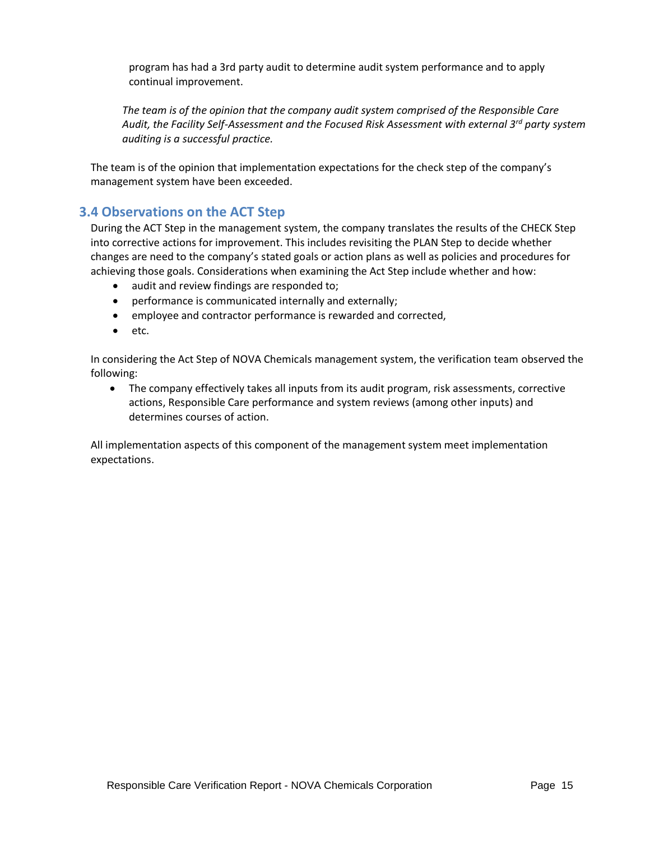program has had a 3rd party audit to determine audit system performance and to apply continual improvement.

<span id="page-14-0"></span>*The team is of the opinion that the company audit system comprised of the Responsible Care Audit, the Facility Self-Assessment and the Focused Risk Assessment with external 3rd party system auditing is a successful practice.*

The team is of the opinion that implementation expectations for the check step of the company's management system have been exceeded.

## **3.4 Observations on the ACT Step**

During the ACT Step in the management system, the company translates the results of the CHECK Step into corrective actions for improvement. This includes revisiting the PLAN Step to decide whether changes are need to the company's stated goals or action plans as well as policies and procedures for achieving those goals. Considerations when examining the Act Step include whether and how:

- audit and review findings are responded to;
- performance is communicated internally and externally;
- employee and contractor performance is rewarded and corrected,
- etc.

In considering the Act Step of NOVA Chemicals management system, the verification team observed the following:

• The company effectively takes all inputs from its audit program, risk assessments, corrective actions, Responsible Care performance and system reviews (among other inputs) and determines courses of action.

All implementation aspects of this component of the management system meet implementation expectations.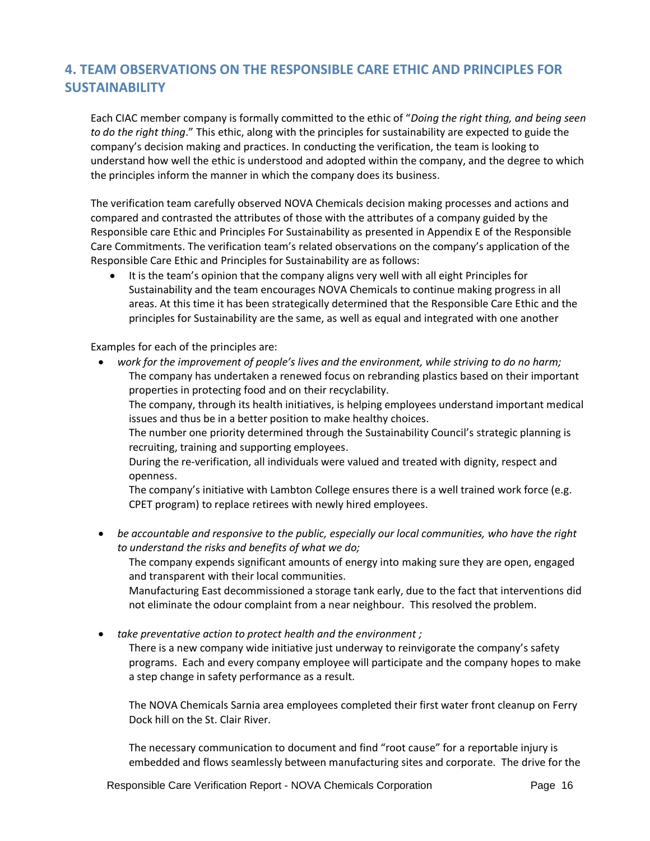# **4. TEAM OBSERVATIONS ON THE RESPONSIBLE CARE ETHIC AND PRINCIPLES FOR SUSTAINABILITY**

Each CIAC member company is formally committed to the ethic of "*Doing the right thing, and being seen to do the right thing*." This ethic, along with the principles for sustainability are expected to guide the company's decision making and practices. In conducting the verification, the team is looking to understand how well the ethic is understood and adopted within the company, and the degree to which the principles inform the manner in which the company does its business.

The verification team carefully observed NOVA Chemicals decision making processes and actions and compared and contrasted the attributes of those with the attributes of a company guided by the Responsible care Ethic and Principles For Sustainability as presented in Appendix E of the Responsible Care Commitments. The verification team's related observations on the company's application of the Responsible Care Ethic and Principles for Sustainability are as follows:

It is the team's opinion that the company aligns very well with all eight Principles for Sustainability and the team encourages NOVA Chemicals to continue making progress in all areas. At this time it has been strategically determined that the Responsible Care Ethic and the principles for Sustainability are the same, as well as equal and integrated with one another

Examples for each of the principles are:

• *work for the improvement of people's lives and the environment, while striving to do no harm;* The company has undertaken a renewed focus on rebranding plastics based on their important properties in protecting food and on their recyclability.

The company, through its health initiatives, is helping employees understand important medical issues and thus be in a better position to make healthy choices.

The number one priority determined through the Sustainability Council's strategic planning is recruiting, training and supporting employees.

During the re-verification, all individuals were valued and treated with dignity, respect and openness.

The company's initiative with Lambton College ensures there is a well trained work force (e.g. CPET program) to replace retirees with newly hired employees.

• *be accountable and responsive to the public, especially our local communities, who have the right to understand the risks and benefits of what we do;*

The company expends significant amounts of energy into making sure they are open, engaged and transparent with their local communities.

Manufacturing East decommissioned a storage tank early, due to the fact that interventions did not eliminate the odour complaint from a near neighbour. This resolved the problem.

• *take preventative action to protect health and the environment ;*

There is a new company wide initiative just underway to reinvigorate the company's safety programs. Each and every company employee will participate and the company hopes to make a step change in safety performance as a result.

The NOVA Chemicals Sarnia area employees completed their first water front cleanup on Ferry Dock hill on the St. Clair River.

The necessary communication to document and find "root cause" for a reportable injury is embedded and flows seamlessly between manufacturing sites and corporate. The drive for the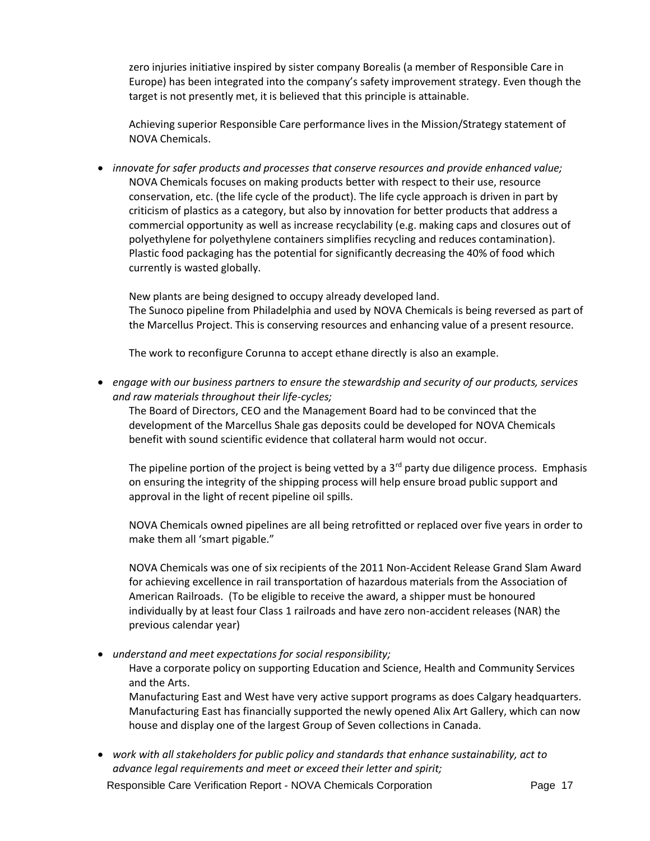zero injuries initiative inspired by sister company Borealis (a member of Responsible Care in Europe) has been integrated into the company's safety improvement strategy. Even though the target is not presently met, it is believed that this principle is attainable.

Achieving superior Responsible Care performance lives in the Mission/Strategy statement of NOVA Chemicals.

• *innovate for safer products and processes that conserve resources and provide enhanced value;* NOVA Chemicals focuses on making products better with respect to their use, resource conservation, etc. (the life cycle of the product). The life cycle approach is driven in part by criticism of plastics as a category, but also by innovation for better products that address a commercial opportunity as well as increase recyclability (e.g. making caps and closures out of polyethylene for polyethylene containers simplifies recycling and reduces contamination). Plastic food packaging has the potential for significantly decreasing the 40% of food which currently is wasted globally.

New plants are being designed to occupy already developed land. The Sunoco pipeline from Philadelphia and used by NOVA Chemicals is being reversed as part of the Marcellus Project. This is conserving resources and enhancing value of a present resource.

The work to reconfigure Corunna to accept ethane directly is also an example.

• *engage with our business partners to ensure the stewardship and security of our products, services and raw materials throughout their life-cycles;*

The Board of Directors, CEO and the Management Board had to be convinced that the development of the Marcellus Shale gas deposits could be developed for NOVA Chemicals benefit with sound scientific evidence that collateral harm would not occur.

The pipeline portion of the project is being vetted by a  $3<sup>rd</sup>$  party due diligence process. Emphasis on ensuring the integrity of the shipping process will help ensure broad public support and approval in the light of recent pipeline oil spills.

NOVA Chemicals owned pipelines are all being retrofitted or replaced over five years in order to make them all 'smart pigable."

NOVA Chemicals was one of six recipients of the 2011 Non-Accident Release Grand Slam Award for achieving excellence in rail transportation of hazardous materials from the Association of American Railroads. (To be eligible to receive the award, a shipper must be honoured individually by at least four Class 1 railroads and have zero non-accident releases (NAR) the previous calendar year)

• *understand and meet expectations for social responsibility;*

Have a corporate policy on supporting Education and Science, Health and Community Services and the Arts.

Manufacturing East and West have very active support programs as does Calgary headquarters. Manufacturing East has financially supported the newly opened Alix Art Gallery, which can now house and display one of the largest Group of Seven collections in Canada.

• *work with all stakeholders for public policy and standards that enhance sustainability, act to advance legal requirements and meet or exceed their letter and spirit;*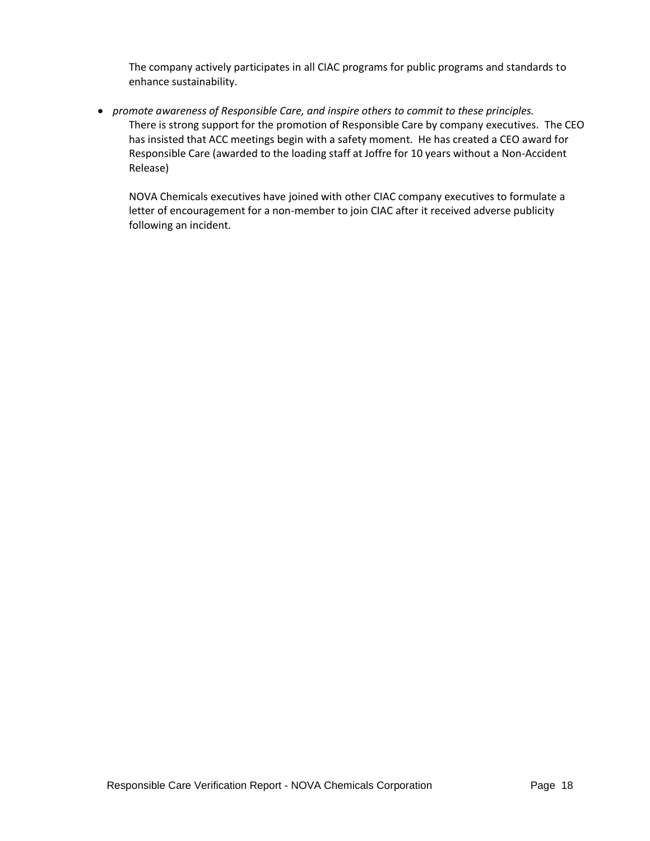The company actively participates in all CIAC programs for public programs and standards to enhance sustainability.

• *promote awareness of Responsible Care, and inspire others to commit to these principles.* There is strong support for the promotion of Responsible Care by company executives. The CEO has insisted that ACC meetings begin with a safety moment. He has created a CEO award for Responsible Care (awarded to the loading staff at Joffre for 10 years without a Non-Accident Release)

NOVA Chemicals executives have joined with other CIAC company executives to formulate a letter of encouragement for a non-member to join CIAC after it received adverse publicity following an incident.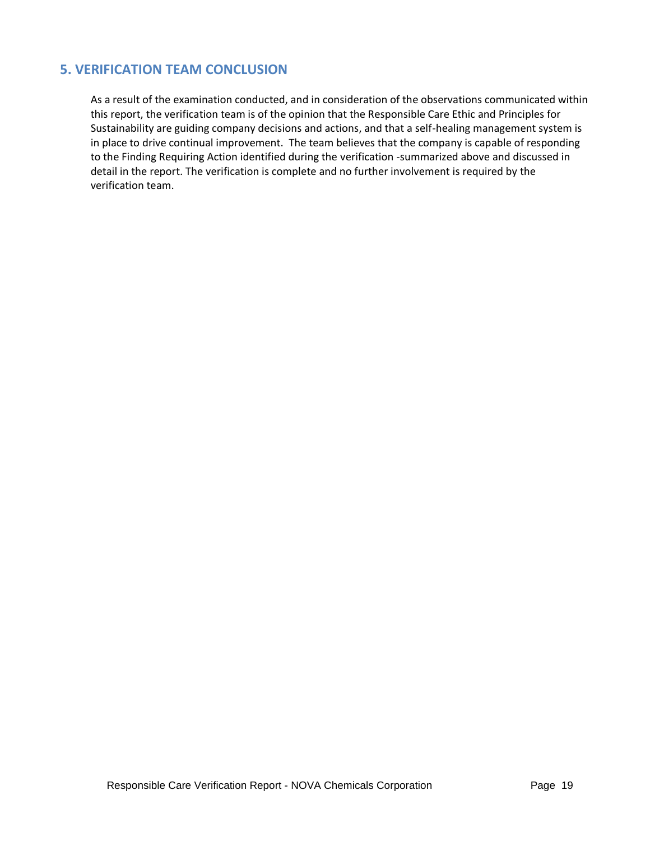## **5. VERIFICATION TEAM CONCLUSION**

As a result of the examination conducted, and in consideration of the observations communicated within this report, the verification team is of the opinion that the Responsible Care Ethic and Principles for Sustainability are guiding company decisions and actions, and that a self-healing management system is in place to drive continual improvement. The team believes that the company is capable of responding to the Finding Requiring Action identified during the verification -summarized above and discussed in detail in the report. The verification is complete and no further involvement is required by the verification team.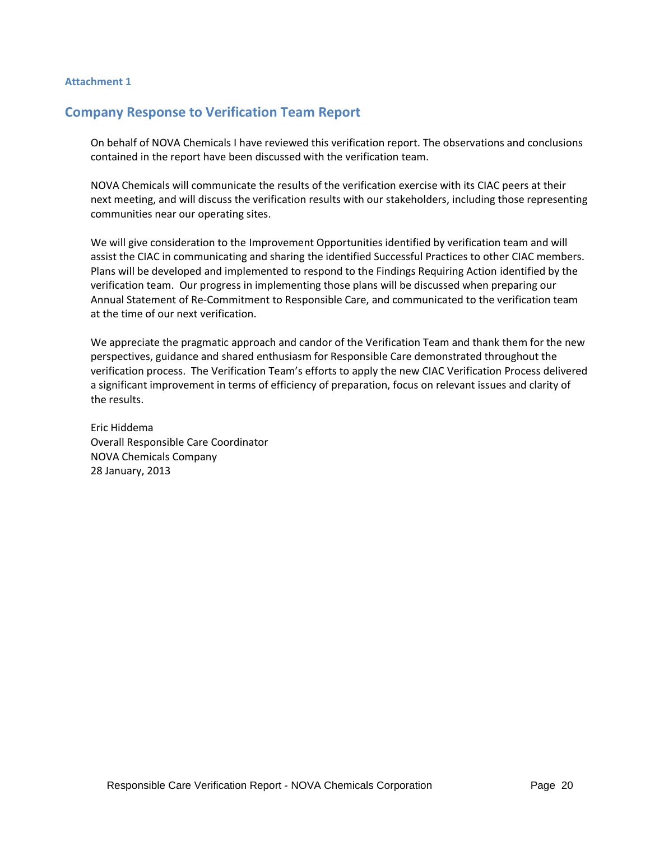#### **Attachment 1**

## **Company Response to Verification Team Report**

On behalf of NOVA Chemicals I have reviewed this verification report. The observations and conclusions contained in the report have been discussed with the verification team.

NOVA Chemicals will communicate the results of the verification exercise with its CIAC peers at their next meeting, and will discuss the verification results with our stakeholders, including those representing communities near our operating sites.

We will give consideration to the Improvement Opportunities identified by verification team and will assist the CIAC in communicating and sharing the identified Successful Practices to other CIAC members. Plans will be developed and implemented to respond to the Findings Requiring Action identified by the verification team. Our progress in implementing those plans will be discussed when preparing our Annual Statement of Re-Commitment to Responsible Care, and communicated to the verification team at the time of our next verification.

We appreciate the pragmatic approach and candor of the Verification Team and thank them for the new perspectives, guidance and shared enthusiasm for Responsible Care demonstrated throughout the verification process. The Verification Team's efforts to apply the new CIAC Verification Process delivered a significant improvement in terms of efficiency of preparation, focus on relevant issues and clarity of the results.

Eric Hiddema Overall Responsible Care Coordinator NOVA Chemicals Company 28 January, 2013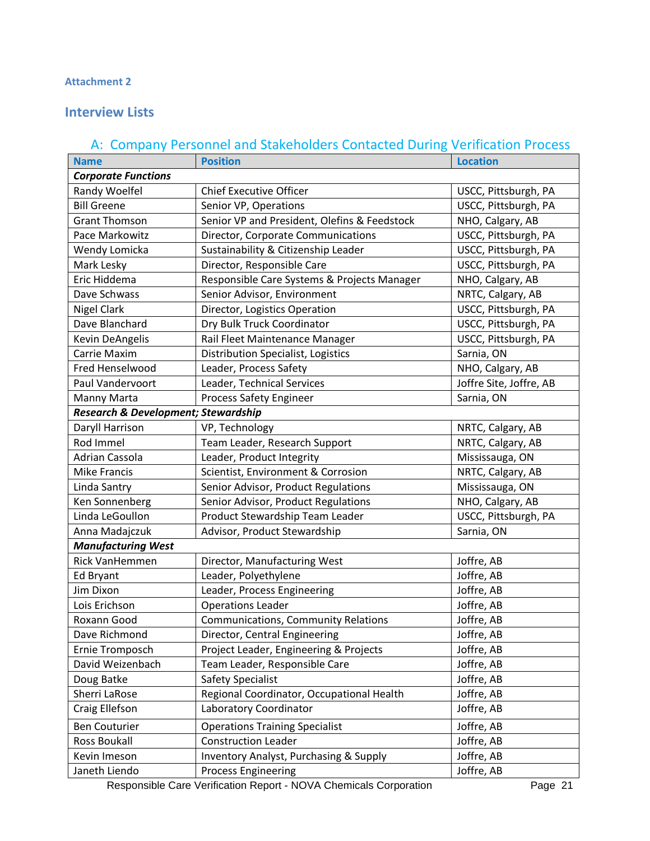## **Attachment 2**

# **Interview Lists**

# A: Company Personnel and Stakeholders Contacted During Verification Process

| <b>Name</b>                                    | <b>Position</b>                                   | <b>Location</b>         |
|------------------------------------------------|---------------------------------------------------|-------------------------|
| <b>Corporate Functions</b>                     |                                                   |                         |
| Randy Woelfel                                  | <b>Chief Executive Officer</b>                    | USCC, Pittsburgh, PA    |
| <b>Bill Greene</b>                             | Senior VP, Operations                             | USCC, Pittsburgh, PA    |
| <b>Grant Thomson</b>                           | Senior VP and President, Olefins & Feedstock      | NHO, Calgary, AB        |
| Pace Markowitz                                 | Director, Corporate Communications                | USCC, Pittsburgh, PA    |
| Wendy Lomicka                                  | Sustainability & Citizenship Leader               | USCC, Pittsburgh, PA    |
| Mark Lesky                                     | Director, Responsible Care                        | USCC, Pittsburgh, PA    |
| Eric Hiddema                                   | Responsible Care Systems & Projects Manager       | NHO, Calgary, AB        |
| Dave Schwass                                   | Senior Advisor, Environment                       | NRTC, Calgary, AB       |
| <b>Nigel Clark</b>                             | Director, Logistics Operation                     | USCC, Pittsburgh, PA    |
| Dave Blanchard                                 | Dry Bulk Truck Coordinator                        | USCC, Pittsburgh, PA    |
| Kevin DeAngelis                                | Rail Fleet Maintenance Manager                    | USCC, Pittsburgh, PA    |
| Carrie Maxim                                   | Distribution Specialist, Logistics                | Sarnia, ON              |
| Fred Henselwood                                | Leader, Process Safety                            | NHO, Calgary, AB        |
| Paul Vandervoort                               | Leader, Technical Services                        | Joffre Site, Joffre, AB |
| Manny Marta                                    | <b>Process Safety Engineer</b>                    | Sarnia, ON              |
| <b>Research &amp; Development; Stewardship</b> |                                                   |                         |
| Daryll Harrison                                | VP, Technology                                    | NRTC, Calgary, AB       |
| Rod Immel                                      | Team Leader, Research Support                     | NRTC, Calgary, AB       |
| Adrian Cassola                                 | Leader, Product Integrity                         | Mississauga, ON         |
| <b>Mike Francis</b>                            | Scientist, Environment & Corrosion                | NRTC, Calgary, AB       |
| Linda Santry                                   | Senior Advisor, Product Regulations               | Mississauga, ON         |
| Ken Sonnenberg                                 | Senior Advisor, Product Regulations               | NHO, Calgary, AB        |
| Linda LeGoullon                                | Product Stewardship Team Leader                   | USCC, Pittsburgh, PA    |
| Anna Madajczuk                                 | Advisor, Product Stewardship                      | Sarnia, ON              |
| <b>Manufacturing West</b>                      |                                                   |                         |
| Rick VanHemmen                                 | Director, Manufacturing West                      | Joffre, AB              |
| Ed Bryant                                      | Leader, Polyethylene                              | Joffre, AB              |
| Jim Dixon                                      | Leader, Process Engineering                       | Joffre, AB              |
| Lois Erichson                                  | <b>Operations Leader</b>                          | Joffre, AB              |
| Roxann Good                                    | <b>Communications, Community Relations</b>        | Joffre, AB              |
| Dave Richmond                                  | Director, Central Engineering                     | Joffre, AB              |
| Ernie Tromposch                                | Project Leader, Engineering & Projects            | Joffre, AB              |
| David Weizenbach                               | Team Leader, Responsible Care                     | Joffre, AB              |
| Doug Batke                                     | <b>Safety Specialist</b>                          | Joffre, AB              |
| Sherri LaRose                                  | Regional Coordinator, Occupational Health         | Joffre, AB              |
| Craig Ellefson                                 | Laboratory Coordinator                            | Joffre, AB              |
| <b>Ben Couturier</b>                           | <b>Operations Training Specialist</b>             | Joffre, AB              |
| Ross Boukall                                   | <b>Construction Leader</b>                        | Joffre, AB              |
| Kevin Imeson                                   | <b>Inventory Analyst, Purchasing &amp; Supply</b> | Joffre, AB              |
| Janeth Liendo                                  | <b>Process Engineering</b>                        | Joffre, AB              |